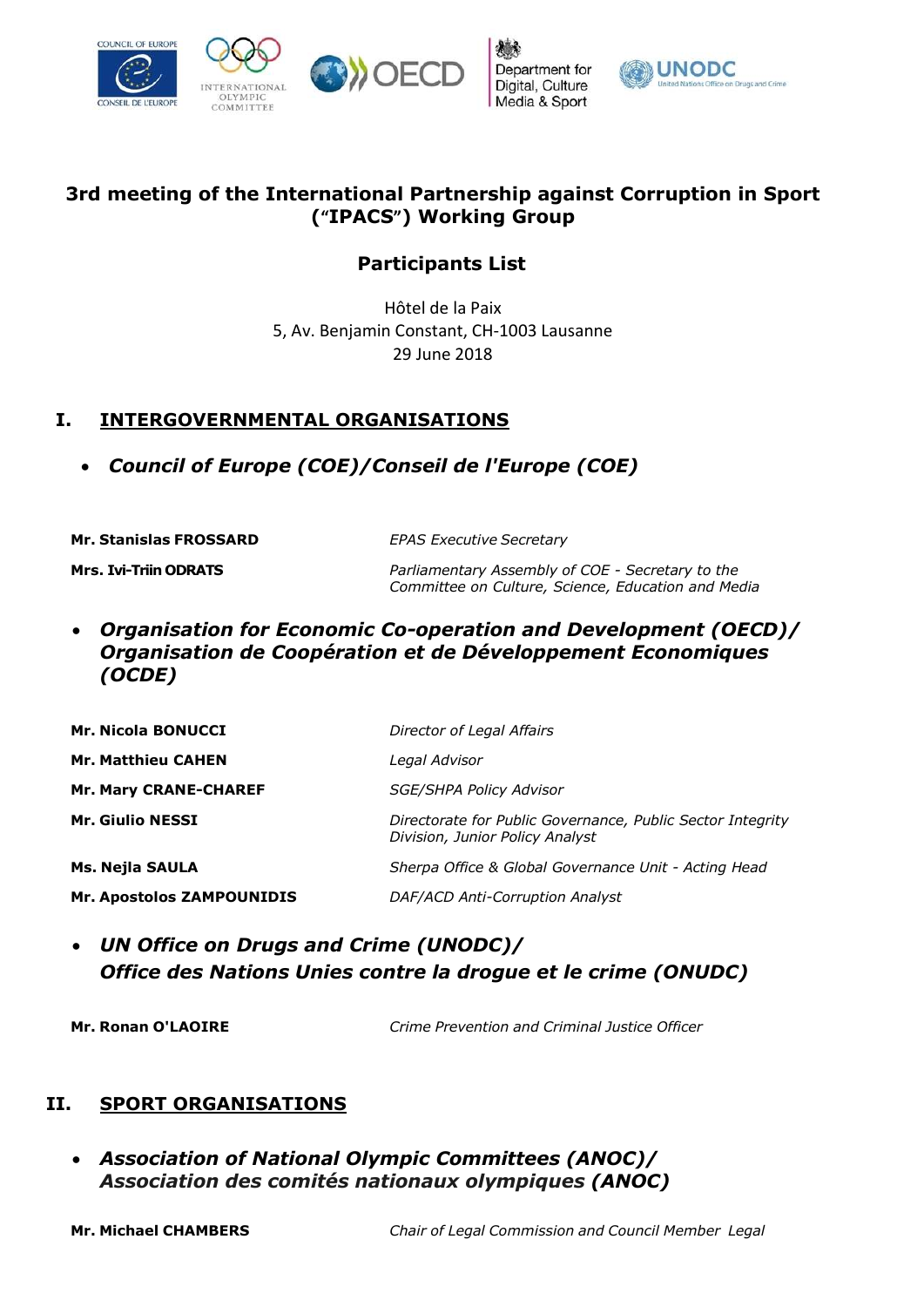

Department for Digital, Culture Media & Sport



## 3rd meeting of the International Partnership against Corruption in Sport ("IPACS") Working Group

## Participants List

Hôtel de la Paix 5, Av. Benjamin Constant, CH-1003 Lausanne 29 June 2018

## I. INTERGOVERNMENTAL ORGANISATIONS

Council of Europe (COE)/Conseil de l'Europe (COE)

| <b>Mr. Stanislas FROSSARD</b> | <b>EPAS Executive Secretary</b>                                                                        |
|-------------------------------|--------------------------------------------------------------------------------------------------------|
| <b>Mrs. Ivi-Triin ODRATS</b>  | Parliamentary Assembly of COE - Secretary to the<br>Committee on Culture, Science, Education and Media |

 Organisation for Economic Co-operation and Development (OECD)/ Organisation de Coopération et de Développement Economiques (OCDE)

| <b>Mr. Nicola BONUCCI</b>        | Director of Legal Affairs                                                                     |
|----------------------------------|-----------------------------------------------------------------------------------------------|
| <b>Mr. Matthieu CAHEN</b>        | Legal Advisor                                                                                 |
| <b>Mr. Mary CRANE-CHAREF</b>     | <b>SGE/SHPA Policy Advisor</b>                                                                |
| <b>Mr. Giulio NESSI</b>          | Directorate for Public Governance, Public Sector Integrity<br>Division, Junior Policy Analyst |
| Ms. Nejla SAULA                  | Sherpa Office & Global Governance Unit - Acting Head                                          |
| <b>Mr. Apostolos ZAMPOUNIDIS</b> | DAF/ACD Anti-Corruption Analyst                                                               |

 UN Office on Drugs and Crime (UNODC)/ Office des Nations Unies contre la drogue et le crime (ONUDC)

Mr. Ronan O'LAOIRE Crime Prevention and Criminal Justice Officer

## II. SPORT ORGANISATIONS

 Association of National Olympic Committees (ANOC)/ Association des comités nationaux olympiques (ANOC)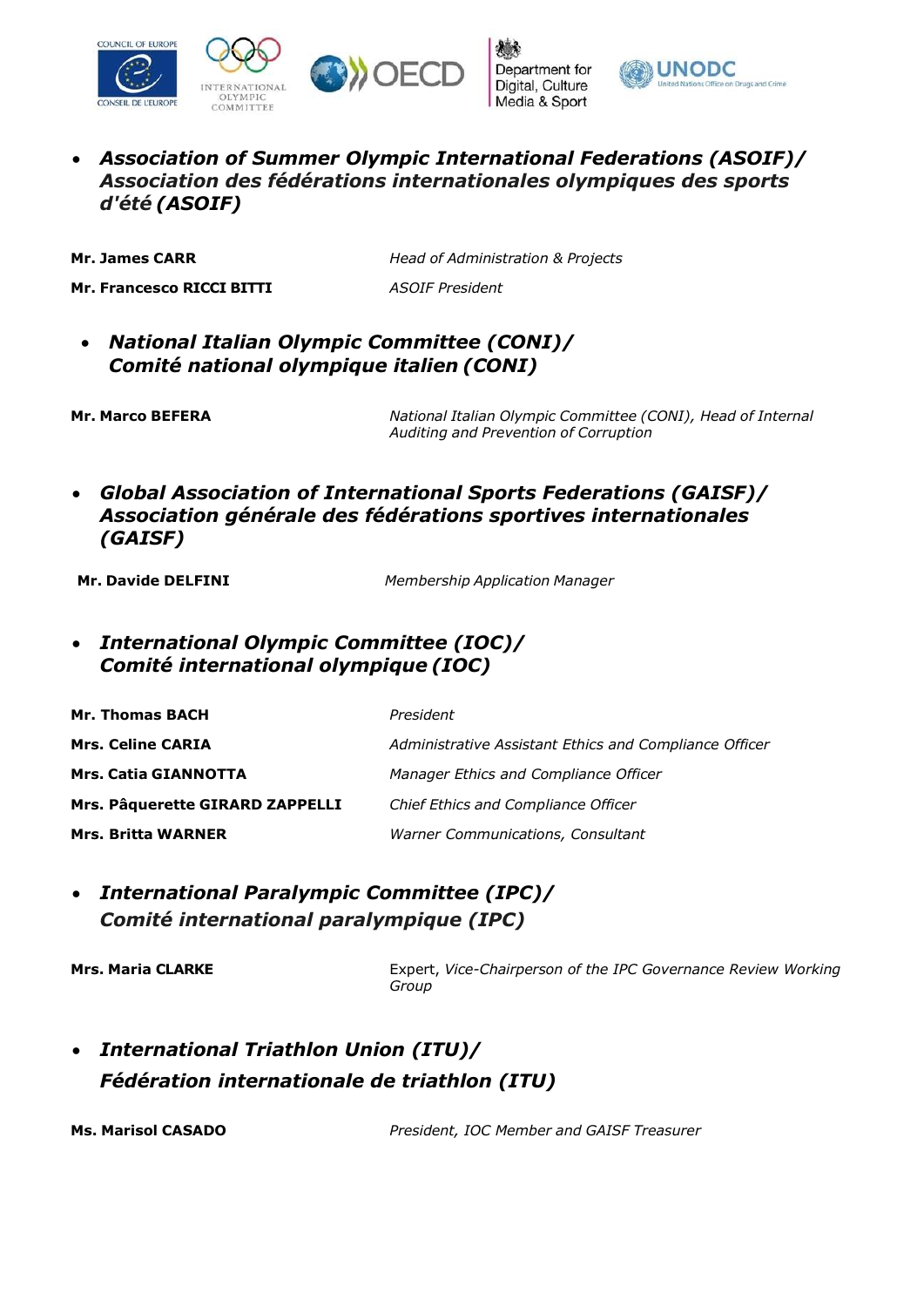





 Association of Summer Olympic International Federations (ASOIF)/ Association des fédérations internationales olympiques des sports d'été (ASOIF)

Mr. James CARR **Head of Administration & Projects** 

Mr. Francesco RICCI BITTI ASOIF President

 National Italian Olympic Committee (CONI)/ Comité national olympique italien (CONI)

Mr. Marco BEFERA National Italian Olympic Committee (CONI), Head of Internal Auditing and Prevention of Corruption

 Global Association of International Sports Federations (GAISF)/ Association générale des fédérations sportives internationales (GAISF)

Mr. Davide DELFINI Membership Application Manager

 International Olympic Committee (IOC)/ Comité international olympique (IOC)

| <b>Mr. Thomas BACH</b>          | President                                              |
|---------------------------------|--------------------------------------------------------|
| <b>Mrs. Celine CARIA</b>        | Administrative Assistant Ethics and Compliance Officer |
| <b>Mrs. Catia GIANNOTTA</b>     | Manager Ethics and Compliance Officer                  |
| Mrs. Pâquerette GIRARD ZAPPELLI | Chief Ethics and Compliance Officer                    |
| <b>Mrs. Britta WARNER</b>       | Warner Communications, Consultant                      |

 International Paralympic Committee (IPC)/ Comité international paralympique (IPC)

Mrs. Maria CLARKE **Expert, Vice-Chairperson of the IPC Governance Review Working** Group

 International Triathlon Union (ITU)/ Fédération internationale de triathlon (ITU)

Ms. Marisol CASADO **President, IOC Member and GAISF Treasurer**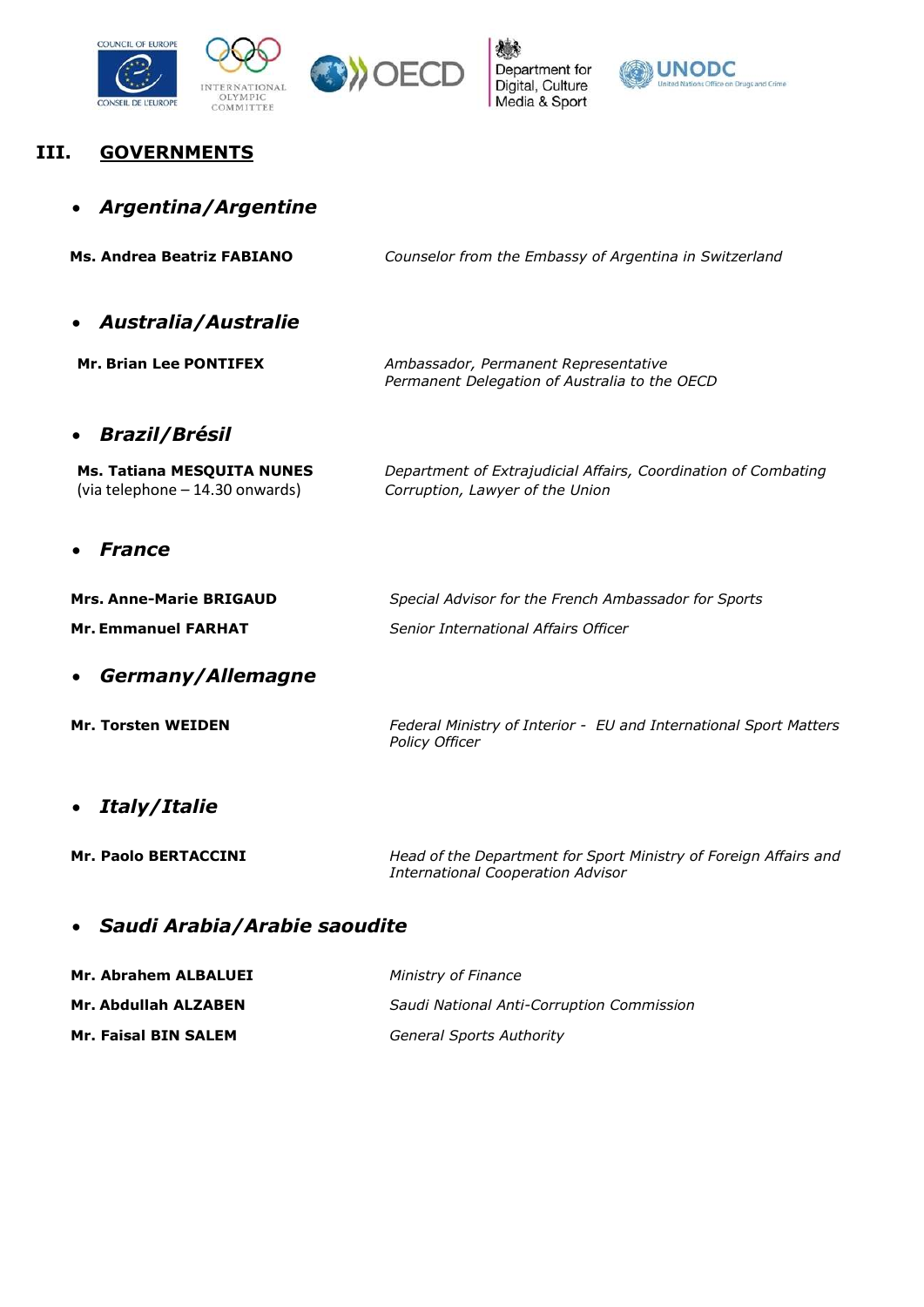



## III. GOVERNMENTS

| Argentina/Argentine                                           |                                                                                                              |
|---------------------------------------------------------------|--------------------------------------------------------------------------------------------------------------|
| Ms. Andrea Beatriz FABIANO                                    | Counselor from the Embassy of Argentina in Switzerland                                                       |
| <b>Australia/Australie</b>                                    |                                                                                                              |
| <b>Mr. Brian Lee PONTIFEX</b>                                 | Ambassador, Permanent Representative<br>Permanent Delegation of Australia to the OECD                        |
| <b>Brazil/Brésil</b>                                          |                                                                                                              |
| Ms. Tatiana MESQUITA NUNES<br>(via telephone - 14.30 onwards) | Department of Extrajudicial Affairs, Coordination of Combating<br>Corruption, Lawyer of the Union            |
| <b>France</b>                                                 |                                                                                                              |
| <b>Mrs. Anne-Marie BRIGAUD</b>                                | Special Advisor for the French Ambassador for Sports                                                         |
| <b>Mr. Emmanuel FARHAT</b>                                    | Senior International Affairs Officer                                                                         |
| Germany/Allemagne                                             |                                                                                                              |
| <b>Mr. Torsten WEIDEN</b>                                     | Federal Ministry of Interior - EU and International Sport Matters<br>Policy Officer                          |
| Italy/Italie                                                  |                                                                                                              |
| <b>Mr. Paolo BERTACCINI</b>                                   | Head of the Department for Sport Ministry of Foreign Affairs and<br><b>International Cooperation Advisor</b> |
|                                                               |                                                                                                              |

# Saudi Arabia/Arabie saoudite

| Mr. Abrahem ALBALUEI        | Ministry of Finance                       |
|-----------------------------|-------------------------------------------|
| Mr. Abdullah ALZABEN        | Saudi National Anti-Corruption Commission |
| <b>Mr. Faisal BIN SALEM</b> | <b>General Sports Authority</b>           |